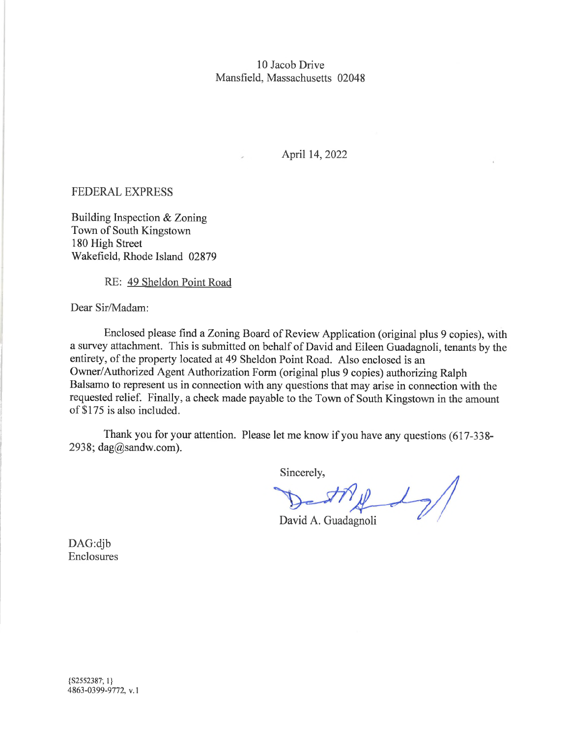### 10 Jacob Drive Mansfield, Massachusetts 02048

## April 14, 2022

#### FEDERAL EXPRESS

Building Inspection & Zoning Town of South Kingstown 180 High Street Wakefield, Rhode Island 02879

RE: 49 Sheldon Point Road

Dear Sir/Madam:

Enclosed please find a Zoning Board of Review Application (original plus 9 copies), with a survey attachment. This is submitted on behalf of David and Eileen Guadagnoli, tenants by the entirety, of the property located at 49 Sheldon Point Road. Also enclosed is an Owner/Authorized Agent Authorization Form (original plus 9 copies) authorizing Ralph Balsamo to represent us in connection with any questions that may arise in cormection with the requested relief. Finally, a check made payable to the Town of South Kingstown in the amount of \$175 is also included.

Thank you for your attention. Please let me know if you have any questions (617-3382938; [dag@sandw.com\)](mailto:dag@sandw.com).

Sincerely,

David A. Guadagnoli

DAG:dib Enclosures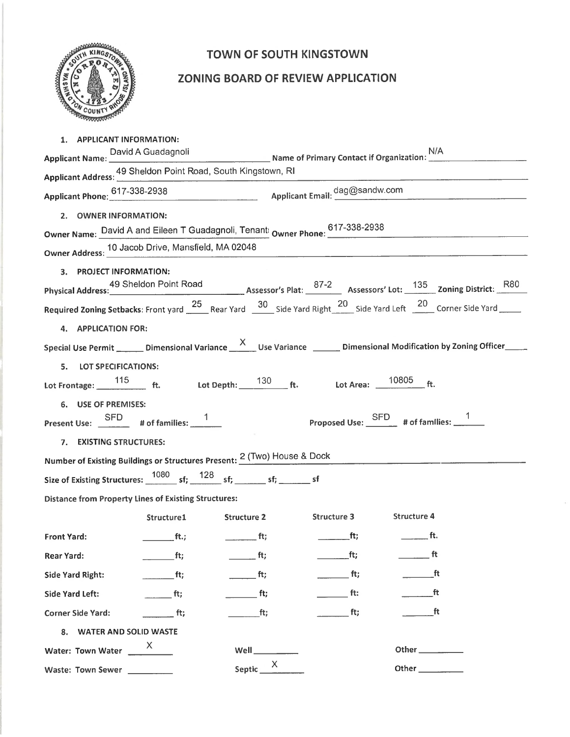

# TOWN OF SOUTH KINGSTOWN

# ZONING BOARD OF REVIEW APPLICATION

| 1. APPLICANT INFORMATION:                                                   |                              |                              |                                                                                                                            |
|-----------------------------------------------------------------------------|------------------------------|------------------------------|----------------------------------------------------------------------------------------------------------------------------|
|                                                                             |                              |                              | Applicant Name: David A Guadagnoli<br>Applicant Name: <u>Carl Alexander Contact of Primary Contact if Organization:</u>    |
| 49 Sheldon Point Road, South Kingstown, RI<br>Applicant Address: ______ ___ |                              |                              |                                                                                                                            |
|                                                                             |                              |                              | Applicant Phone: 617-338-2938 Applicant Email: dag@sandw.com                                                               |
| 2. OWNER INFORMATION:                                                       |                              |                              |                                                                                                                            |
|                                                                             |                              |                              | Owner Name: David A and Eileen T Guadagnoli, Tenant: Owner Phone: 617-338-2938                                             |
| Owner Address: 10 Jacob Drive, Mansfield, MA 02048                          |                              |                              |                                                                                                                            |
|                                                                             |                              |                              |                                                                                                                            |
| 3. PROJECT INFORMATION:                                                     |                              |                              | Physical Address: 49 Sheldon Point Road Assessor's Plat: 37-2 Assessors' Lot: 135 Zoning District: R80                     |
|                                                                             |                              |                              |                                                                                                                            |
|                                                                             |                              |                              | Required Zoning Setbacks: Front yard 25 Rear Yard 30 Side Yard Right 20 Side Yard Left 20 Corner Side Yard                 |
| 4. APPLICATION FOR:                                                         |                              |                              |                                                                                                                            |
|                                                                             |                              |                              | Special Use Permit ______ Dimensional Variance ______ Use Variance _______ Dimensional Modification by Zoning Officer_____ |
| 5. LOT SPECIFICATIONS:                                                      |                              |                              |                                                                                                                            |
|                                                                             |                              |                              | Lot Frontage: $\frac{115}{\text{ft}}$ ft. Lot Depth: $\frac{130}{\text{ft}}$ ft. Lot Area: $\frac{10805}{\text{ft}}$ ft.   |
| 6. USE OF PREMISES:                                                         |                              |                              |                                                                                                                            |
| Present Use: $\frac{\text{SFD}}{2}$ # of families: $\frac{1}{2}$            |                              |                              | Proposed Use: SFD # of families: 1                                                                                         |
|                                                                             |                              |                              |                                                                                                                            |
| 7. EXISTING STRUCTURES:                                                     |                              |                              |                                                                                                                            |
| Number of Existing Buildings or Structures Present: 2 (Two) House & Dock    |                              |                              |                                                                                                                            |
|                                                                             |                              |                              |                                                                                                                            |
| <b>Distance from Property Lines of Existing Structures:</b>                 |                              |                              |                                                                                                                            |
|                                                                             |                              |                              | Structure1 Structure 2 Structure 3 Structure 4                                                                             |
| Front Yard:                                                                 | $f(t)$ for $f(t)$ for $f(t)$ |                              | and $\overline{f}$ ft; the contract of $\overline{f}$ ft.                                                                  |
| <b>Rear Yard:</b>                                                           | f(t)                         | ft;                          | ft<br>ft;                                                                                                                  |
| Side Yard Right:                                                            | $\overline{\phantom{a}}$ ft; | $\overline{\phantom{a}}$ ft; | ft;<br>_ft                                                                                                                 |
| Side Yard Left:                                                             | $\frac{1}{2}$ ft;            | $\overline{\phantom{a}}$ ft; | ________ ft:                                                                                                               |
| <b>Corner Side Yard:</b>                                                    | $\overline{\phantom{a}}$ ft; | $\overline{\phantom{a}}$ ft; | $\frac{1}{2}$ ft;<br>a ft                                                                                                  |
| 8. WATER AND SOLID WASTE                                                    |                              |                              |                                                                                                                            |
| Water: Town Water                                                           | X.                           | Well $\_\_$                  | Other __________                                                                                                           |
| Waste: Town Sewer                                                           |                              | Septic X                     |                                                                                                                            |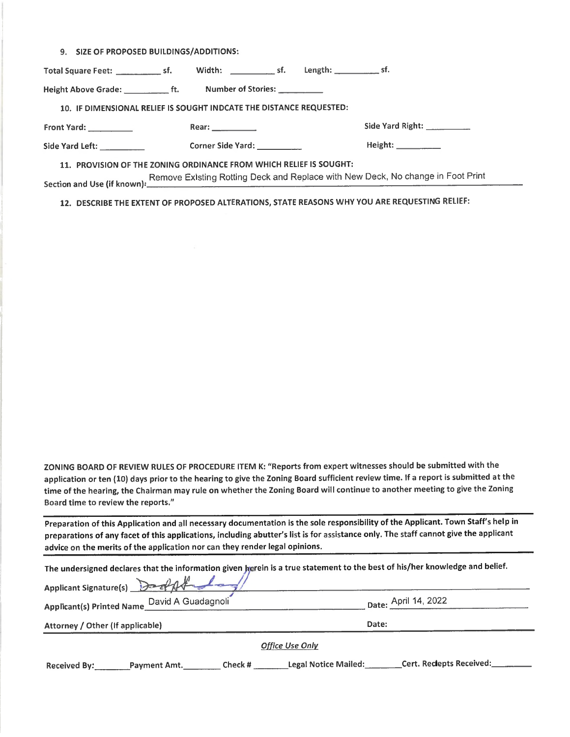9. SIZE OF PROPOSED BUILDINGS/ADDITIONS:

Total Square Feet: sf. Width: sf. Length: sf. Length: Height Above Grade: Fig. 1. Number of Stories: 10. IF DIMENSIONAL RELIEF IS SOUGHT INDCATE THE DISTANCE REQUESTED: Front Yard: Rear: Side Yard Right: Side Yard Left: Corner Side Yard: Height: 11. PROVISION OF THE ZONING ORDINANCE FROM WHICH RELIEF IS SOUGHT: Remove Existing Rotting Deck and Replace with New Deck, No change in Foot Print Section and Use (if known):,

12. DESCRIBE THE EXTENT OF PROPOSED ALTERATIONS, STATE REASONS WHY YOU ARE REQUESTING RELIEF:

ZONING BOARD OF REVIEW RULES OF PROCEDURE ITEM K: "Reports from expert witnesses should be submitted with the application or ten (10) days prior to the hearing to give the Zoning Board sufficient review time. If a report is submitted at the time of the hearing, the Chairman may rule on whether the Zoning Board will continue to another meeting to give the Zoning Board time to review the reports."

Preparation of this Application and all necessary documentation is the sole responsibility of the Applicant. Town Staff's help in preparations of any facet of this applications, including abutter's list is for assistance only. The staff cannot give the applicant advice on the merits of the application nor can they render legal opinions.

|                                  |                                              |         |                      | The undersigned declares that the information given <b>herein is a true statement to the best of</b> his/her knowledge and belief. |
|----------------------------------|----------------------------------------------|---------|----------------------|------------------------------------------------------------------------------------------------------------------------------------|
|                                  | Applicant Signature(s)                       |         |                      |                                                                                                                                    |
|                                  | Applicant(s) Printed Name_David A Guadagnoli |         |                      | Date: April 14, 2022                                                                                                               |
| Attorney / Other (If applicable) |                                              |         | Date:                |                                                                                                                                    |
|                                  |                                              |         | Office Use Only      |                                                                                                                                    |
| <b>Received By:</b>              | _Payment Amt.                                | Check # | Legal Notice Mailed: | Cert. Reciepts Received:                                                                                                           |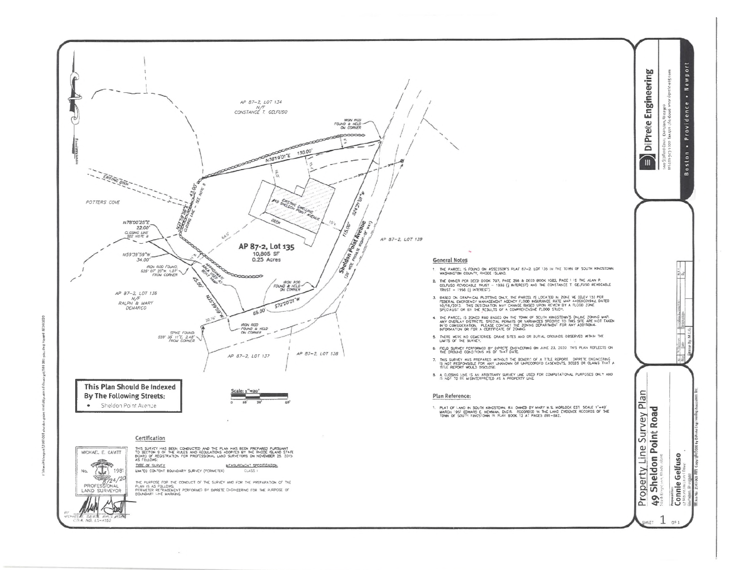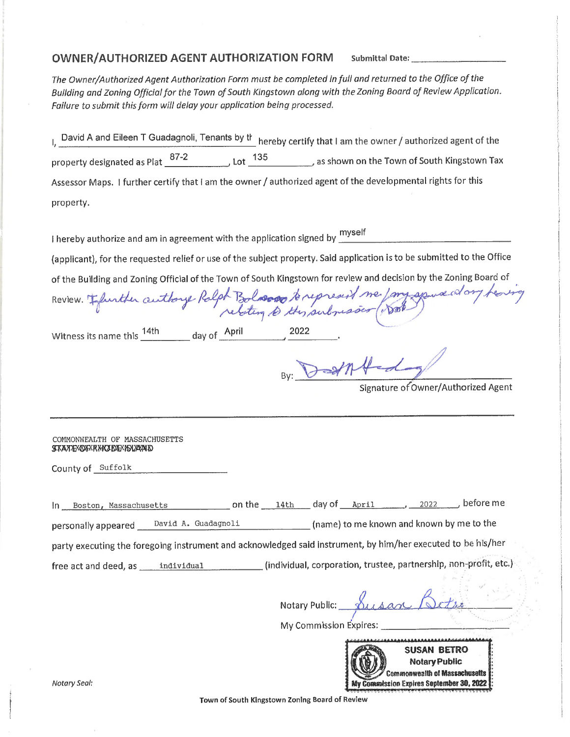### OWNER/AUTHORIZED AGENT AUTHORIZATION FORM **Submittal Date:**

*The Owner/AuthorizedAgentAuthorization Form must be completed infull and returned to the Office ofthe Building* and *Zoning Official for the Town of South Kingstown along with the <i>Zoning Board of Review Application*. *Failure to submit this form will delay your application being processed.*

I, David A and Eileen T Guadagnoli, Tenants by the hereby certify that I am the owner / authorized agent of the<br>International control of the control of the control of the control of the control of the control of the contro *j* as shown on the Town of South Kingstown Tax 87-2 <sup>135</sup> property designated as Plat ,Lot Assessor Maps. I further certify that I am the owner / authorized agent of the developmental rights for this property.

**I** myself I hereby authorize and am in agreement with the application signed by  $\frac{m}{2}$ 

(applicant), for the requested relief or use of the subject property. Said application is to be submitted to the Office

ofthe Building and Zoning Official ofthe Town of South Kingstown for review and decision by the Zoning Board of

| Of the building and Zoning Onticial of the Town of Journ Kingstown for Teview and decision                   |
|--------------------------------------------------------------------------------------------------------------|
| Review. Effurther authorse Ralph Bolosopo to represent me / myspora at any heaving                           |
| Witness its name this $\frac{14th}{ }$ day of April<br>2022                                                  |
| By: DatAfed                                                                                                  |
| Signature of Owner/Authorized Agent                                                                          |
|                                                                                                              |
| COMMONWEALTH OF MASSACHUSETTS<br><b>STATE OF RHODE ISLAMD</b>                                                |
| County of Suffolk                                                                                            |
|                                                                                                              |
| In Boston, Massachusetts on the 14th day of April 2022 before me                                             |
| personally appeared _____David_A. Guadagnoli__________________(name) to me known and known by me to the      |
| party executing the foregoing instrument and acknowledged said instrument, by him/her executed to be his/her |
| (individual, corporation, trustee, partnership, non-profit, etc.)                                            |
| Notary Public: Susan Re                                                                                      |
| My Commission Expires:                                                                                       |
| SUSAN BETRO                                                                                                  |

Notary Public

**Town of South Kingstown Zoning Board of Review**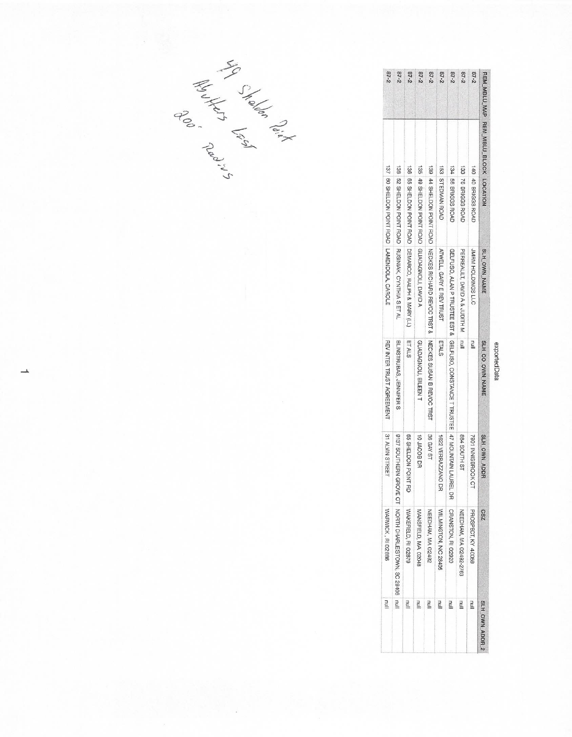|           | REM MBLU MAP REM MBLU BLOCK LOCATION |                                             | SLH OWN NAME                                                                          | SLH_CO_OWN_NAME                                                                               | SLH OWN ADDR        | ZS <sub>3</sub>                                    | SLH OWN ADDR 2 |
|-----------|--------------------------------------|---------------------------------------------|---------------------------------------------------------------------------------------|-----------------------------------------------------------------------------------------------|---------------------|----------------------------------------------------|----------------|
| $87 - 2$  |                                      | 140 40 BRIGGS ROAD                          | JMRM HOLDINGS LLC                                                                     | luulla 1                                                                                      | 7901 INNISBROOK C   | PROSPECT, KY 40059                                 | <b>Tull</b>    |
| $87 - 2$  |                                      | 133 76 BRIGGS ROAD                          | PERREAULT, DAVID A & JUDITH M                                                         | llun                                                                                          | <b>TS HTUOS 488</b> | NEEDHAM, MA 02492-2763                             | llu1           |
| $87 - 2$  |                                      | 134 56 BRIGGS ROAD                          |                                                                                       | GELFUSO, ALAN PEL DONNING EST & THE LE TRONSTANCE T THOSTEE EST & CELFUSTEE EST & THOSTEE EST |                     | CRANSTON, RI 02920                                 | <u>Inn</u>     |
| $87 - 28$ |                                      | <b>153 STEDMAN ROAD</b>                     | ATWELL, GARY E REV TRUST                                                              | <b>ETALS</b>                                                                                  | 1622 VERRAZZANO DR  | WILMINGTON, NC 28405                               | lull           |
| $87 - 2$  |                                      |                                             | 139 - 44 SHELDON POINT ROAD   NECKEN RIOHARD REVOO TRAT &   NECKES SUSAN B REVOO TRAT |                                                                                               | 36 GAY ST           | NEEDHAM, MA 02492                                  |                |
| $87 - 2$  | 135                                  | 49 SHELDON POINT ROAD GUADAGNOLL, DAVID A   |                                                                                       | GUADAGNOLI, EILEENT                                                                           | 10 JACOB DR         | MANSFIELD, MA 02048                                |                |
| $87 - 2$  |                                      |                                             | 136   65 SHELDON POINT ROAD   DEMARCO, RALPH & MARY (LL)                              | ET ALS                                                                                        | 65 SHELDON POINT RD | WAKEFIELD, RI 02879                                |                |
| $87 - 2$  |                                      |                                             | 138 52 SHELDON POINT ROAD RUSINIAK, CYNTHIA S ET AL                                   | BLINSTRUBAS, JENNIFER S                                                                       |                     | 9137 SOUTHERN GROVE CT NORTH CHARLESTOWN, SC 29406 |                |
| $87 - 2$  |                                      | 137 60 SHELDON POINT ROAD LAMENDOLA, CAROLE |                                                                                       | REV INTER TRUST AGREEMENT                                                                     | 31 ALVIN STREET     | WARWICK, RI 02886                                  | E              |